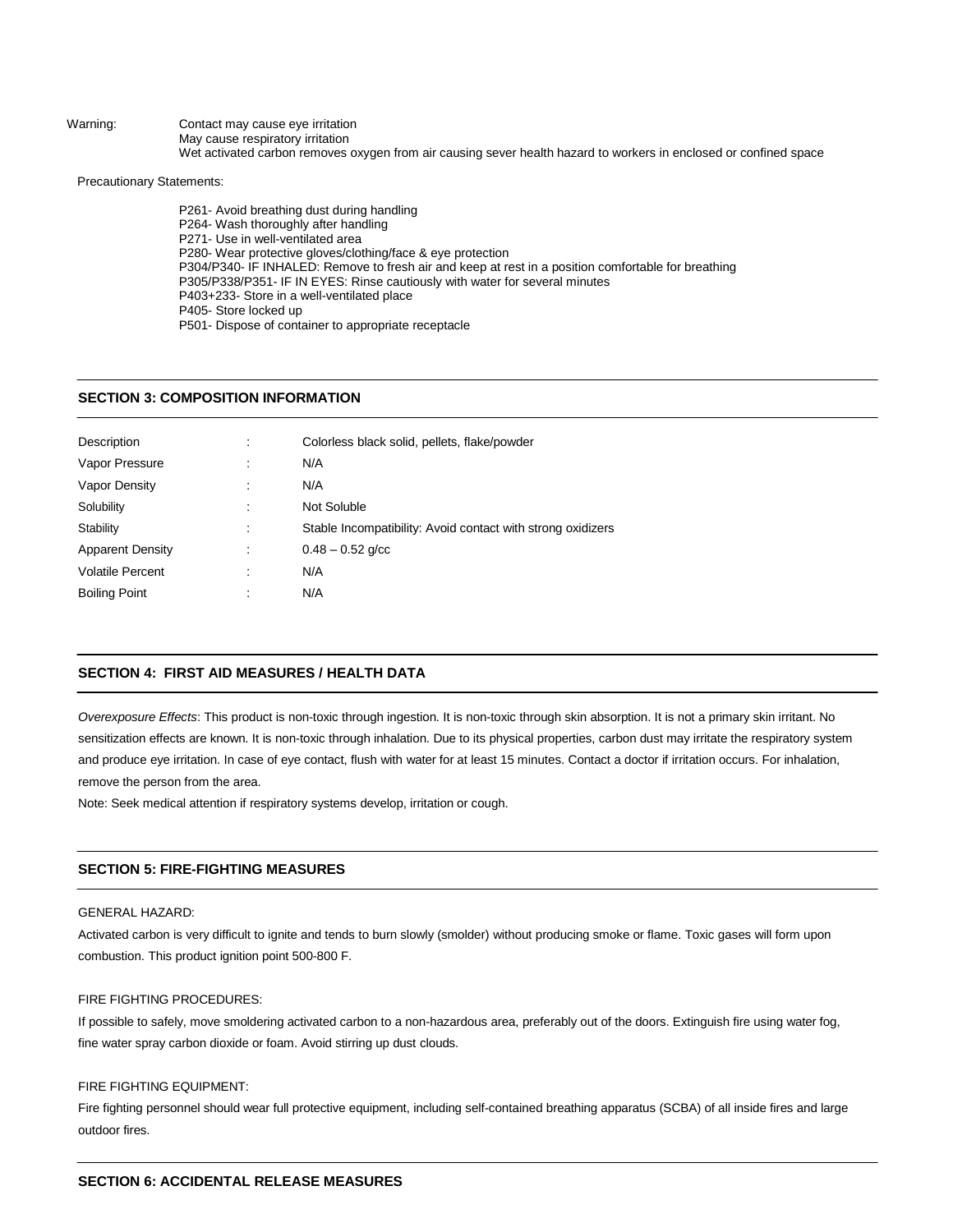Warning: Contact may cause eye irritation May cause respiratory irritation Wet activated carbon removes oxygen from air causing sever health hazard to workers in enclosed or confined space

Precautionary Statements:

P261- Avoid breathing dust during handling P264- Wash thoroughly after handling P271- Use in well-ventilated area P280- Wear protective gloves/clothing/face & eye protection P304/P340- IF INHALED: Remove to fresh air and keep at rest in a position comfortable for breathing P305/P338/P351- IF IN EYES: Rinse cautiously with water for several minutes P403+233- Store in a well-ventilated place P405- Store locked up P501- Dispose of container to appropriate receptacle

## **SECTION 3: COMPOSITION INFORMATION**

| Description             | Colorless black solid, pellets, flake/powder                |
|-------------------------|-------------------------------------------------------------|
| Vapor Pressure          | N/A                                                         |
| Vapor Density           | N/A                                                         |
| Solubility              | Not Soluble                                                 |
| Stability               | Stable Incompatibility: Avoid contact with strong oxidizers |
| <b>Apparent Density</b> | $0.48 - 0.52$ g/cc                                          |
| <b>Volatile Percent</b> | N/A                                                         |
| <b>Boiling Point</b>    | N/A                                                         |
|                         |                                                             |

## **SECTION 4: FIRST AID MEASURES / HEALTH DATA**

*Overexposure Effects*: This product is non-toxic through ingestion. It is non-toxic through skin absorption. It is not a primary skin irritant. No sensitization effects are known. It is non-toxic through inhalation. Due to its physical properties, carbon dust may irritate the respiratory system and produce eye irritation. In case of eye contact, flush with water for at least 15 minutes. Contact a doctor if irritation occurs. For inhalation, remove the person from the area.

Note: Seek medical attention if respiratory systems develop, irritation or cough.

## **SECTION 5: FIRE-FIGHTING MEASURES**

#### GENERAL HAZARD:

Activated carbon is very difficult to ignite and tends to burn slowly (smolder) without producing smoke or flame. Toxic gases will form upon combustion. This product ignition point 500-800 F.

#### FIRE FIGHTING PROCEDURES:

If possible to safely, move smoldering activated carbon to a non-hazardous area, preferably out of the doors. Extinguish fire using water fog, fine water spray carbon dioxide or foam. Avoid stirring up dust clouds.

## FIRE FIGHTING EQUIPMENT:

Fire fighting personnel should wear full protective equipment, including self-contained breathing apparatus (SCBA) of all inside fires and large outdoor fires.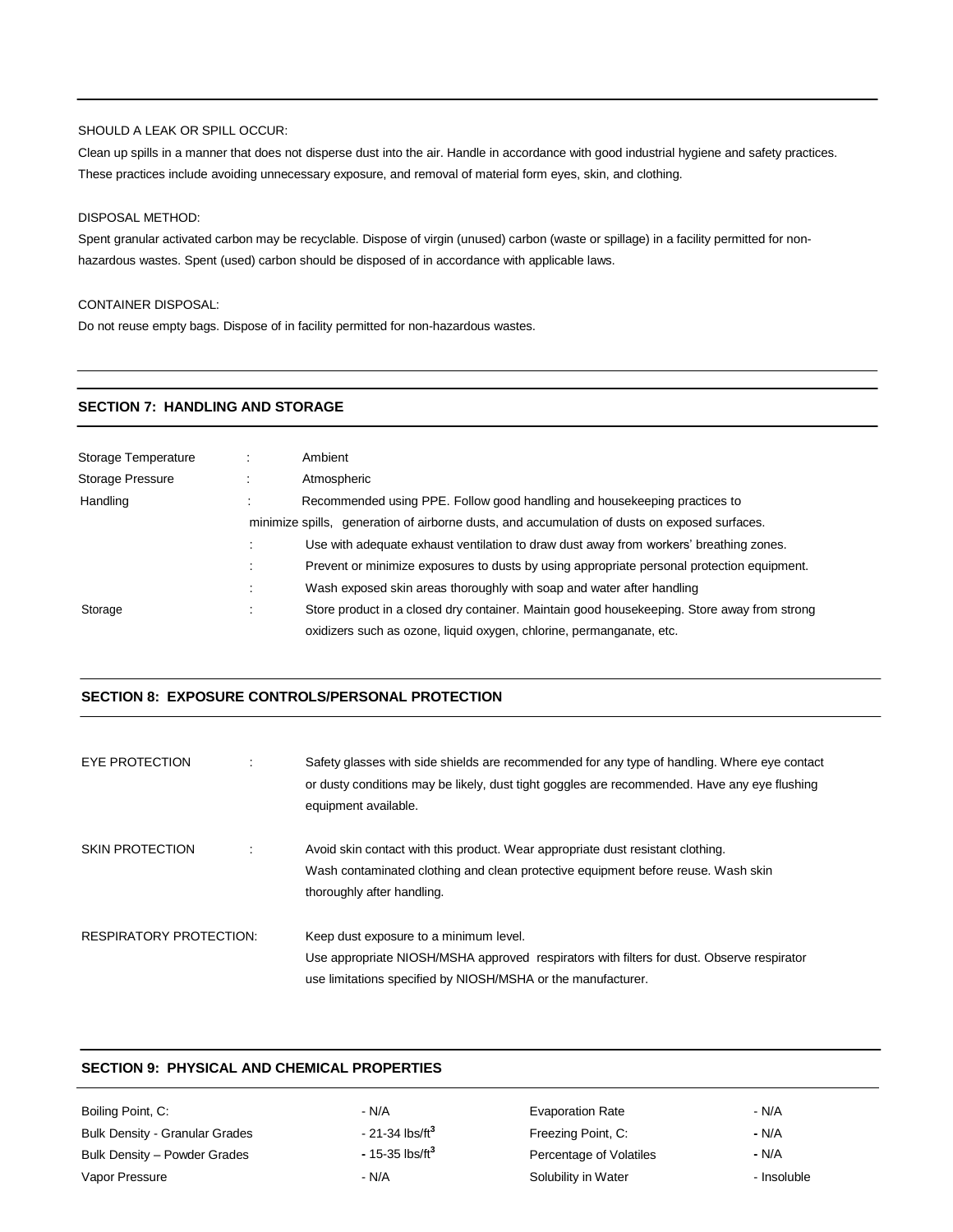#### SHOULD A LEAK OR SPILL OCCUR:

Clean up spills in a manner that does not disperse dust into the air. Handle in accordance with good industrial hygiene and safety practices. These practices include avoiding unnecessary exposure, and removal of material form eyes, skin, and clothing.

## DISPOSAL METHOD:

Spent granular activated carbon may be recyclable. Dispose of virgin (unused) carbon (waste or spillage) in a facility permitted for nonhazardous wastes. Spent (used) carbon should be disposed of in accordance with applicable laws.

#### CONTAINER DISPOSAL:

Do not reuse empty bags. Dispose of in facility permitted for non-hazardous wastes.

#### **SECTION 7: HANDLING AND STORAGE**

| Storage Temperature | Ambient                                                                                       |
|---------------------|-----------------------------------------------------------------------------------------------|
| Storage Pressure    | Atmospheric                                                                                   |
| Handling            | Recommended using PPE. Follow good handling and house keeping practices to                    |
|                     | minimize spills, generation of airborne dusts, and accumulation of dusts on exposed surfaces. |
|                     | Use with adequate exhaust ventilation to draw dust away from workers' breathing zones.        |
|                     | Prevent or minimize exposures to dusts by using appropriate personal protection equipment.    |
|                     | Wash exposed skin areas thoroughly with soap and water after handling                         |
| Storage             | Store product in a closed dry container. Maintain good housekeeping. Store away from strong   |
|                     | oxidizers such as ozone, liquid oxygen, chlorine, permanganate, etc.                          |

## **SECTION 8: EXPOSURE CONTROLS/PERSONAL PROTECTION**

| EYE PROTECTION                 | Safety glasses with side shields are recommended for any type of handling. Where eye contact<br>or dusty conditions may be likely, dust tight goggles are recommended. Have any eye flushing<br>equipment available. |
|--------------------------------|----------------------------------------------------------------------------------------------------------------------------------------------------------------------------------------------------------------------|
| <b>SKIN PROTECTION</b>         | Avoid skin contact with this product. Wear appropriate dust resistant clothing.<br>Wash contaminated clothing and clean protective equipment before reuse. Wash skin<br>thoroughly after handling.                   |
| <b>RESPIRATORY PROTECTION:</b> | Keep dust exposure to a minimum level.<br>Use appropriate NIOSH/MSHA approved respirators with filters for dust. Observe respirator<br>use limitations specified by NIOSH/MSHA or the manufacturer.                  |

## **SECTION 9: PHYSICAL AND CHEMICAL PROPERTIES**

| Boiling Point, C:                     | - N/A                        | <b>Evaporation Rate</b> | - N/A       |
|---------------------------------------|------------------------------|-------------------------|-------------|
| <b>Bulk Density - Granular Grades</b> | $-21-34$ lbs/ft <sup>3</sup> | Freezing Point, C:      | - N/A       |
| Bulk Density - Powder Grades          | $-15-35$ lbs/ft <sup>3</sup> | Percentage of Volatiles | - N/A       |
| Vapor Pressure                        | - N/A                        | Solubility in Water     | - Insoluble |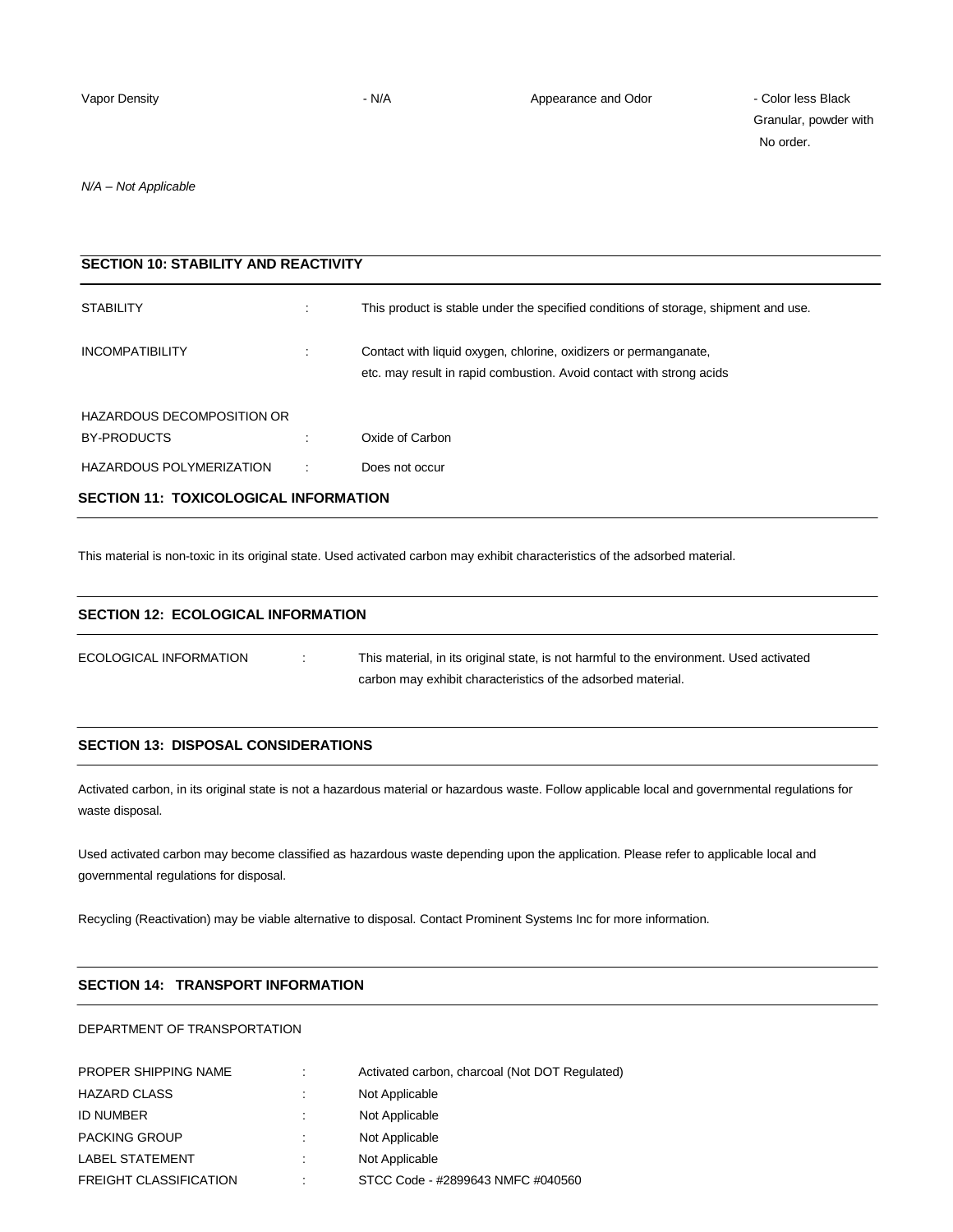Granular, powder with No order.

*N/A – Not Applicable*

| <b>SECTION 10: STABILITY AND REACTIVITY</b> |    |                                                                                                                                          |  |
|---------------------------------------------|----|------------------------------------------------------------------------------------------------------------------------------------------|--|
| <b>STABILITY</b>                            |    | This product is stable under the specified conditions of storage, shipment and use.                                                      |  |
| <b>INCOMPATIBILITY</b>                      |    | Contact with liquid oxygen, chlorine, oxidizers or permanganate,<br>etc. may result in rapid combustion. Avoid contact with strong acids |  |
| HAZARDOUS DECOMPOSITION OR                  |    |                                                                                                                                          |  |
| BY-PRODUCTS                                 |    | Oxide of Carbon                                                                                                                          |  |
| HAZARDOUS POLYMERIZATION                    | ÷. | Does not occur                                                                                                                           |  |
| SECTION 11: TOXICOLOGICAL INFORMATION       |    |                                                                                                                                          |  |

This material is non-toxic in its original state. Used activated carbon may exhibit characteristics of the adsorbed material.

| <b>SECTION 12: ECOLOGICAL INFORMATION</b> |  |                                                                                                                                                         |  |
|-------------------------------------------|--|---------------------------------------------------------------------------------------------------------------------------------------------------------|--|
| ECOLOGICAL INFORMATION                    |  | This material, in its original state, is not harmful to the environment. Used activated<br>carbon may exhibit characteristics of the adsorbed material. |  |

## **SECTION 13: DISPOSAL CONSIDERATIONS**

Activated carbon, in its original state is not a hazardous material or hazardous waste. Follow applicable local and governmental regulations for waste disposal.

Used activated carbon may become classified as hazardous waste depending upon the application. Please refer to applicable local and governmental regulations for disposal.

Recycling (Reactivation) may be viable alternative to disposal. Contact Prominent Systems Inc for more information.

## **SECTION 14: TRANSPORT INFORMATION**

DEPARTMENT OF TRANSPORTATION

| <b>PROPER SHIPPING NAME</b>   | ٠ | Activated carbon, charcoal (Not DOT Regulated) |
|-------------------------------|---|------------------------------------------------|
| <b>HAZARD CLASS</b>           | ٠ | Not Applicable                                 |
| <b>ID NUMBER</b>              |   | Not Applicable                                 |
| <b>PACKING GROUP</b>          |   | Not Applicable                                 |
| <b>LABEL STATEMENT</b>        | ٠ | Not Applicable                                 |
| <b>FREIGHT CLASSIFICATION</b> | ٠ | STCC Code - #2899643 NMFC #040560              |
|                               |   |                                                |